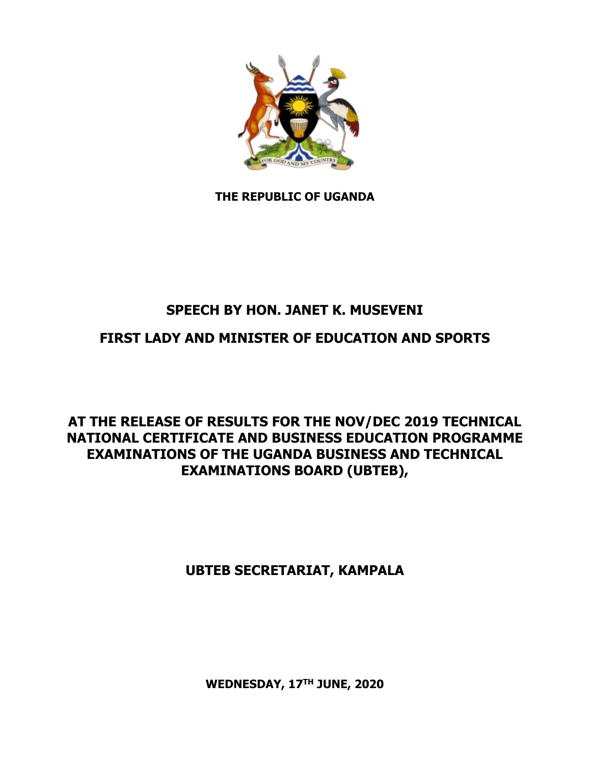

**THE REPUBLIC OF UGANDA**

## **SPEECH BY HON. JANET K. MUSEVENI**

## **FIRST LADY AND MINISTER OF EDUCATION AND SPORTS**

## **AT THE RELEASE OF RESULTS FOR THE NOV/DEC 2019 TECHNICAL NATIONAL CERTIFICATE AND BUSINESS EDUCATION PROGRAMME EXAMINATIONS OF THE UGANDA BUSINESS AND TECHNICAL EXAMINATIONS BOARD (UBTEB),**

## **UBTEB SECRETARIAT, KAMPALA**

**WEDNESDAY, 17TH JUNE, 2020**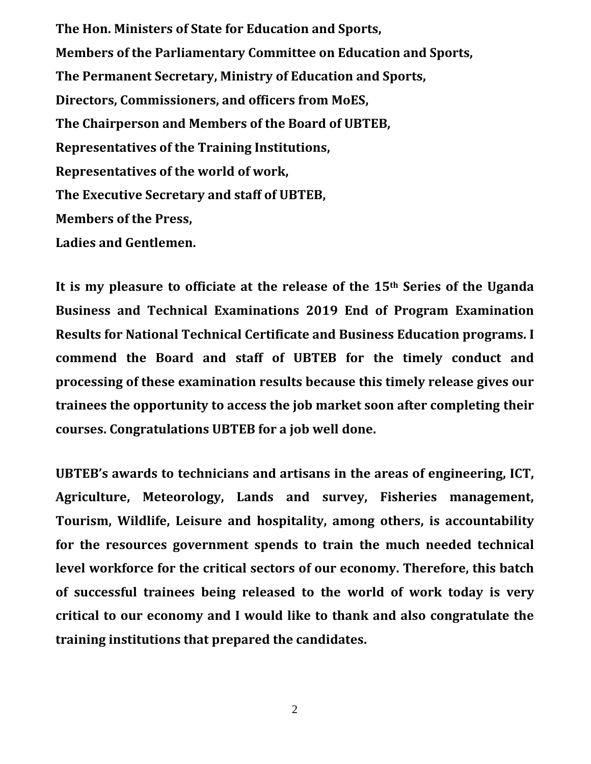**The Hon. Ministers of State for Education and Sports, Members of the Parliamentary Committee on Education and Sports, The Permanent Secretary, Ministry of Education and Sports, Directors, Commissioners, and officers from MoES, The Chairperson and Members of the Board of UBTEB, Representatives of the Training Institutions, Representatives of the world of work, The Executive Secretary and staff of UBTEB, Members of the Press, Ladies and Gentlemen.**

**It is my pleasure to officiate at the release of the 15th Series of the Uganda Business and Technical Examinations 2019 End of Program Examination Results for National Technical Certificate and Business Education programs. I commend the Board and staff of UBTEB for the timely conduct and processing of these examination results because this timely release gives our trainees the opportunity to access the job market soon after completing their courses. Congratulations UBTEB for a job well done.** 

**UBTEB's awards to technicians and artisans in the areas of engineering, ICT, Agriculture, Meteorology, Lands and survey, Fisheries management, Tourism, Wildlife, Leisure and hospitality, among others, is accountability for the resources government spends to train the much needed technical level workforce for the critical sectors of our economy. Therefore, this batch of successful trainees being released to the world of work today is very critical to our economy and I would like to thank and also congratulate the training institutions that prepared the candidates.**

2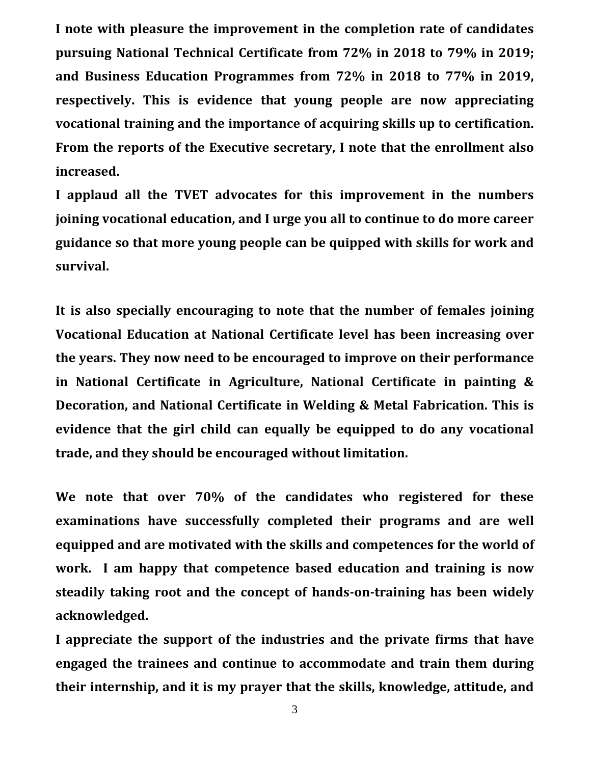**I note with pleasure the improvement in the completion rate of candidates pursuing National Technical Certificate from 72% in 2018 to 79% in 2019; and Business Education Programmes from 72% in 2018 to 77% in 2019, respectively. This is evidence that young people are now appreciating vocational training and the importance of acquiring skills up to certification. From the reports of the Executive secretary, I note that the enrollment also increased.** 

**I applaud all the TVET advocates for this improvement in the numbers joining vocational education, and I urge you all to continue to do more career guidance so that more young people can be quipped with skills for work and survival.** 

**It is also specially encouraging to note that the number of females joining Vocational Education at National Certificate level has been increasing over the years. They now need to be encouraged to improve on their performance in National Certificate in Agriculture, National Certificate in painting & Decoration, and National Certificate in Welding & Metal Fabrication. This is evidence that the girl child can equally be equipped to do any vocational trade, and they should be encouraged without limitation.** 

**We note that over 70% of the candidates who registered for these examinations have successfully completed their programs and are well equipped and are motivated with the skills and competences for the world of work. I am happy that competence based education and training is now steadily taking root and the concept of hands-on-training has been widely acknowledged.** 

**I appreciate the support of the industries and the private firms that have engaged the trainees and continue to accommodate and train them during their internship, and it is my prayer that the skills, knowledge, attitude, and** 

3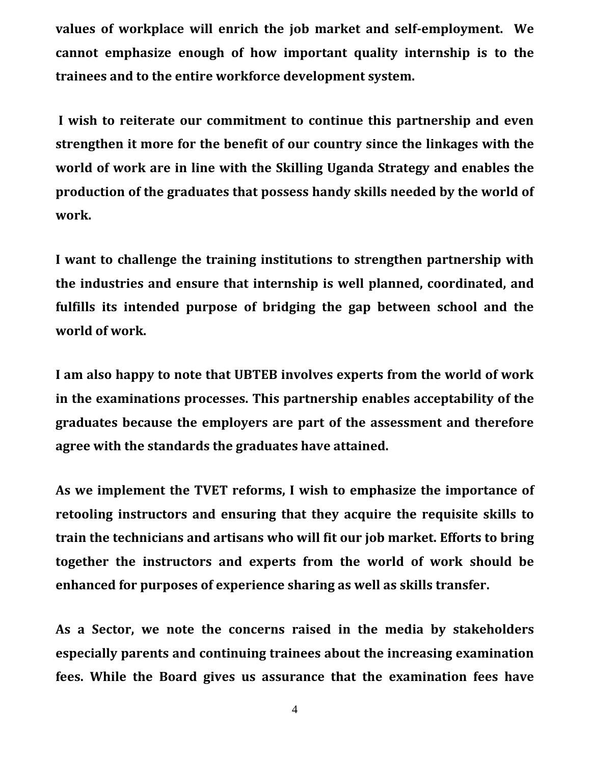**values of workplace will enrich the job market and self-employment. We cannot emphasize enough of how important quality internship is to the trainees and to the entire workforce development system.** 

**I wish to reiterate our commitment to continue this partnership and even strengthen it more for the benefit of our country since the linkages with the world of work are in line with the Skilling Uganda Strategy and enables the production of the graduates that possess handy skills needed by the world of work.**

**I want to challenge the training institutions to strengthen partnership with the industries and ensure that internship is well planned, coordinated, and fulfills its intended purpose of bridging the gap between school and the world of work.**

**I am also happy to note that UBTEB involves experts from the world of work in the examinations processes. This partnership enables acceptability of the graduates because the employers are part of the assessment and therefore agree with the standards the graduates have attained.** 

**As we implement the TVET reforms, I wish to emphasize the importance of retooling instructors and ensuring that they acquire the requisite skills to train the technicians and artisans who will fit our job market. Efforts to bring together the instructors and experts from the world of work should be enhanced for purposes of experience sharing as well as skills transfer.** 

**As a Sector, we note the concerns raised in the media by stakeholders especially parents and continuing trainees about the increasing examination fees. While the Board gives us assurance that the examination fees have**